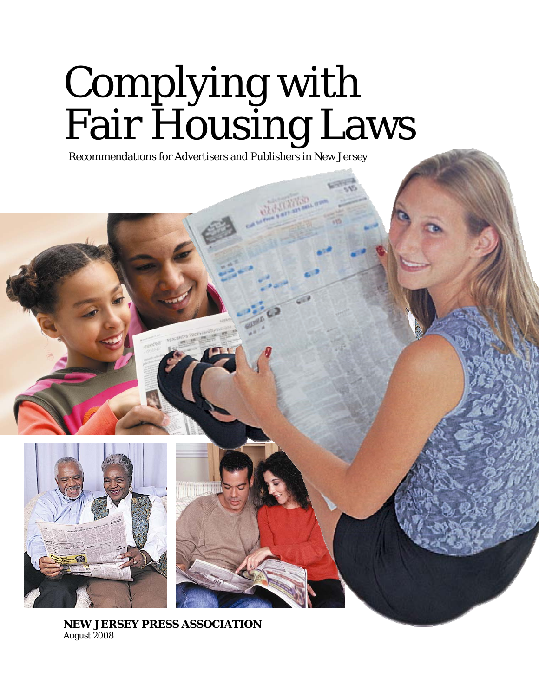# Complying with Fair Housing Laws

Recommendations for Advertisers and Publishers in New Jersey



**NEW JERSEY PRESS ASSOCIATION**  August 2008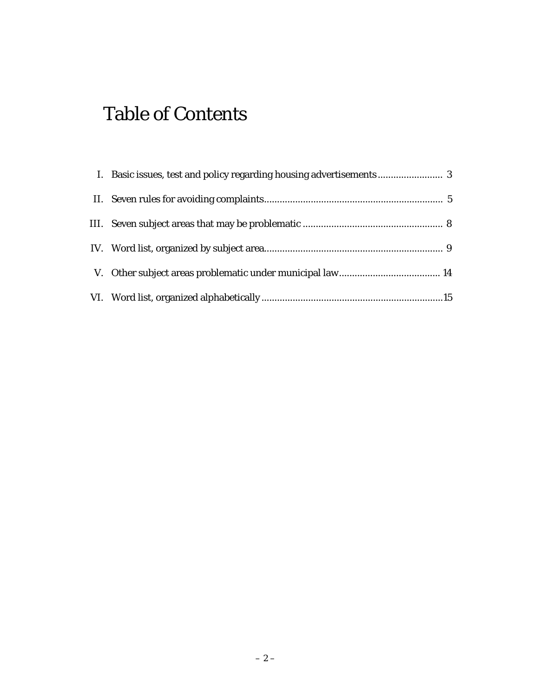# Table of Contents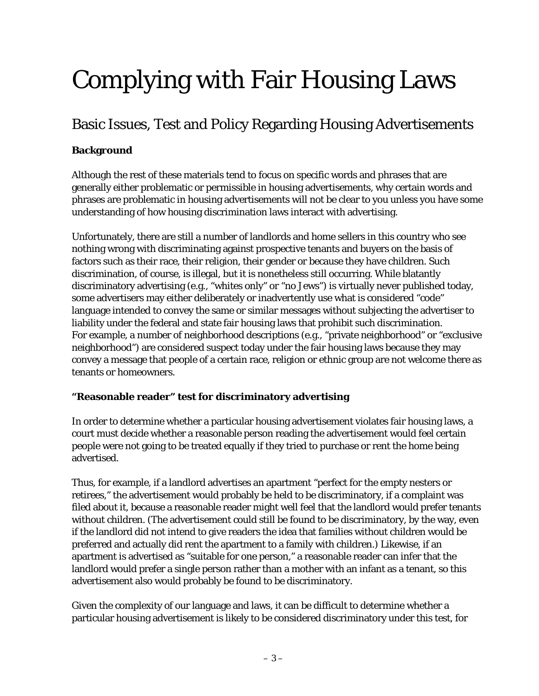# Complying with Fair Housing Laws

## Basic Issues, Test and Policy Regarding Housing Advertisements

#### **Background**

Although the rest of these materials tend to focus on specific words and phrases that are generally either problematic or permissible in housing advertisements, why certain words and phrases are problematic in housing advertisements will not be clear to you unless you have some understanding of how housing discrimination laws interact with advertising.

Unfortunately, there are still a number of landlords and home sellers in this country who see nothing wrong with discriminating against prospective tenants and buyers on the basis of factors such as their race, their religion, their gender or because they have children. Such discrimination, of course, is illegal, but it is nonetheless still occurring. While blatantly discriminatory advertising (e.g., "whites only" or "no Jews") is virtually never published today, some advertisers may either deliberately or inadvertently use what is considered "code" language intended to convey the same or similar messages without subjecting the advertiser to liability under the federal and state fair housing laws that prohibit such discrimination. For example, a number of neighborhood descriptions (e.g., "private neighborhood" or "exclusive neighborhood") are considered suspect today under the fair housing laws because they may convey a message that people of a certain race, religion or ethnic group are not welcome there as tenants or homeowners.

#### **"Reasonable reader" test for discriminatory advertising**

In order to determine whether a particular housing advertisement violates fair housing laws, a court must decide whether a reasonable person reading the advertisement would feel certain people were not going to be treated equally if they tried to purchase or rent the home being advertised.

Thus, for example, if a landlord advertises an apartment "perfect for the empty nesters or retirees," the advertisement would probably be held to be discriminatory, if a complaint was filed about it, because a reasonable reader might well feel that the landlord would prefer tenants without children. (The advertisement could still be found to be discriminatory, by the way, even if the landlord did not intend to give readers the idea that families without children would be preferred and actually did rent the apartment to a family with children.) Likewise, if an apartment is advertised as "suitable for one person," a reasonable reader can infer that the landlord would prefer a single person rather than a mother with an infant as a tenant, so this advertisement also would probably be found to be discriminatory.

Given the complexity of our language and laws, it can be difficult to determine whether a particular housing advertisement is likely to be considered discriminatory under this test, for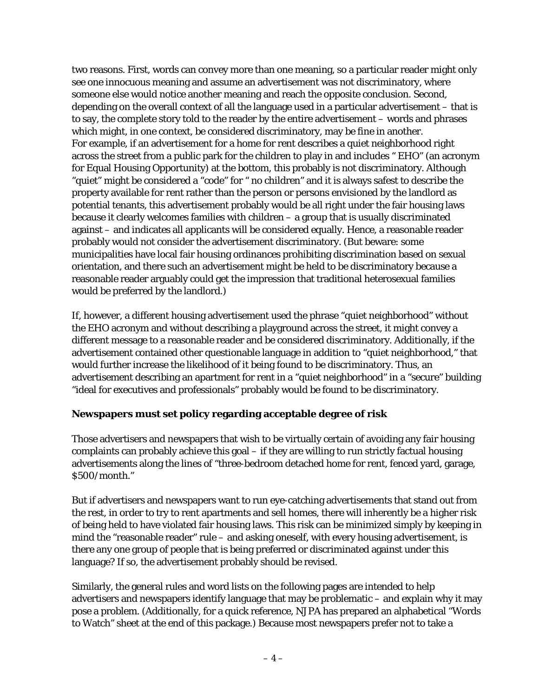two reasons. First, words can convey more than one meaning, so a particular reader might only see one innocuous meaning and assume an advertisement was not discriminatory, where someone else would notice another meaning and reach the opposite conclusion. Second, depending on the overall context of all the language used in a particular advertisement – that is to say, the complete story told to the reader by the entire advertisement – words and phrases which might, in one context, be considered discriminatory, may be fine in another. For example, if an advertisement for a home for rent describes a quiet neighborhood right across the street from a public park for the children to play in and includes " EHO" (an acronym for Equal Housing Opportunity) at the bottom, this probably is not discriminatory. Although "quiet" might be considered a "code" for " no children" and it is always safest to describe the property available for rent rather than the person or persons envisioned by the landlord as potential tenants, this advertisement probably would be all right under the fair housing laws because it clearly welcomes families with children – a group that is usually discriminated against – and indicates all applicants will be considered equally. Hence, a reasonable reader probably would not consider the advertisement discriminatory. (But beware: some municipalities have local fair housing ordinances prohibiting discrimination based on sexual orientation, and there such an advertisement might be held to be discriminatory because a reasonable reader arguably could get the impression that traditional heterosexual families would be preferred by the landlord.)

If, however, a different housing advertisement used the phrase "quiet neighborhood" without the EHO acronym and without describing a playground across the street, it might convey a different message to a reasonable reader and be considered discriminatory. Additionally, if the advertisement contained other questionable language in addition to "quiet neighborhood," that would further increase the likelihood of it being found to be discriminatory. Thus, an advertisement describing an apartment for rent in a "quiet neighborhood" in a "secure" building "ideal for executives and professionals" probably would be found to be discriminatory.

#### **Newspapers must set policy regarding acceptable degree of risk**

Those advertisers and newspapers that wish to be virtually certain of avoiding any fair housing complaints can probably achieve this goal – if they are willing to run strictly factual housing advertisements along the lines of "three-bedroom detached home for rent, fenced yard, garage, \$500/month."

But if advertisers and newspapers want to run eye-catching advertisements that stand out from the rest, in order to try to rent apartments and sell homes, there will inherently be a higher risk of being held to have violated fair housing laws. This risk can be minimized simply by keeping in mind the "reasonable reader" rule – and asking oneself, with every housing advertisement, is there any one group of people that is being preferred or discriminated against under this language? If so, the advertisement probably should be revised.

Similarly, the general rules and word lists on the following pages are intended to help advertisers and newspapers identify language that may be problematic – and explain why it may pose a problem. (Additionally, for a quick reference, NJPA has prepared an alphabetical "Words to Watch" sheet at the end of this package.) Because most newspapers prefer not to take a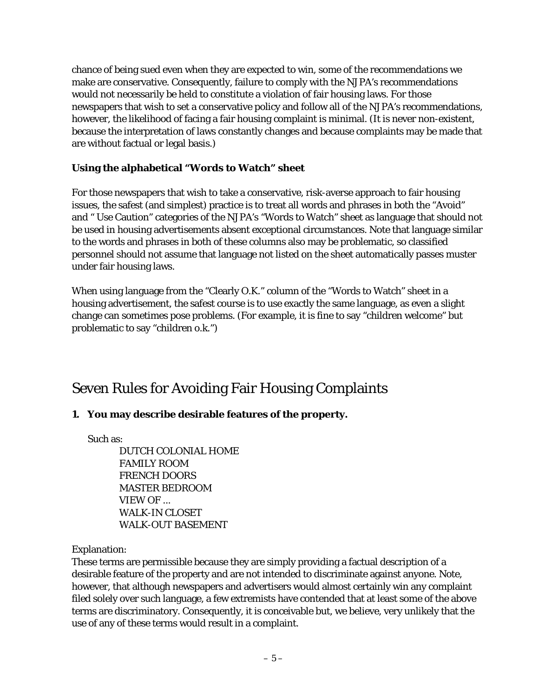chance of being sued even when they are expected to win, some of the recommendations we make are conservative. Consequently, failure to comply with the NJPA's recommendations would not necessarily be held to constitute a violation of fair housing laws. For those newspapers that wish to set a conservative policy and follow all of the NJPA's recommendations, however, the likelihood of facing a fair housing complaint is minimal. (It is never non-existent, because the interpretation of laws constantly changes and because complaints may be made that are without factual or legal basis.)

#### **Using the alphabetical "Words to Watch" sheet**

For those newspapers that wish to take a conservative, risk-averse approach to fair housing issues, the safest (and simplest) practice is to treat all words and phrases in both the "Avoid" and " Use Caution" categories of the NJPA's "Words to Watch" sheet as language that should not be used in housing advertisements absent exceptional circumstances. Note that language similar to the words and phrases in both of these columns also may be problematic, so classified personnel should not assume that language not listed on the sheet automatically passes muster under fair housing laws.

When using language from the "Clearly O.K." column of the "Words to Watch" sheet in a housing advertisement, the safest course is to use exactly the same language, as even a slight change can sometimes pose problems. (For example, it is fine to say "children welcome" but problematic to say "children o.k.")

### Seven Rules for Avoiding Fair Housing Complaints

#### **1. You may describe desirable features of the property.**

Such as:

 DUTCH COLONIAL HOME FAMILY ROOM FRENCH DOORS MASTER BEDROOM VIEW OF ... WALK-IN CLOSET WALK-OUT BASEMENT

Explanation:

These terms are permissible because they are simply providing a factual description of a desirable feature of the property and are not intended to discriminate against anyone. Note, however, that although newspapers and advertisers would almost certainly win any complaint filed solely over such language, a few extremists have contended that at least some of the above terms are discriminatory. Consequently, it is conceivable but, we believe, very unlikely that the use of any of these terms would result in a complaint.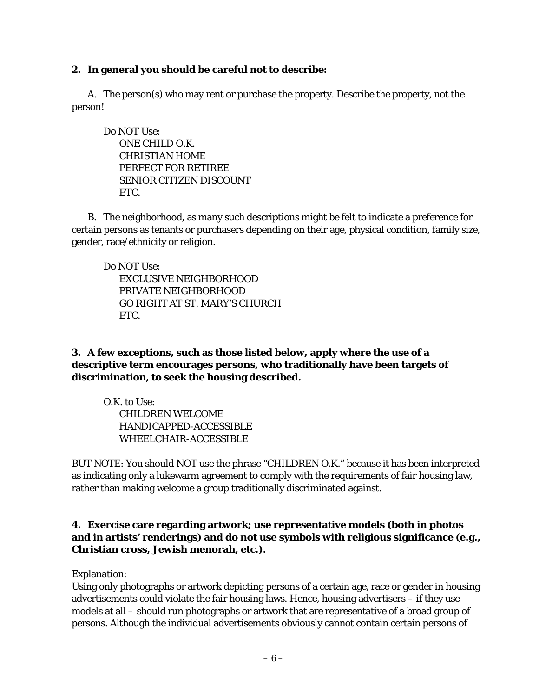#### **2. In general you should be careful not to describe:**

 A. The person(s) who may rent or purchase the property. Describe the property, not the person!

 Do NOT Use: ONE CHILD O.K. CHRISTIAN HOME PERFECT FOR RETIREE SENIOR CITIZEN DISCOUNT ETC.

 B. The neighborhood, as many such descriptions might be felt to indicate a preference for certain persons as tenants or purchasers depending on their age, physical condition, family size, gender, race/ethnicity or religion.

Do NOT Use:

 EXCLUSIVE NEIGHBORHOOD PRIVATE NEIGHBORHOOD GO RIGHT AT ST. MARY'S CHURCH ETC.

**3. A few exceptions, such as those listed below, apply where the use of a descriptive term encourages persons, who traditionally have been targets of discrimination, to seek the housing described.** 

 O.K. to Use: CHILDREN WELCOME HANDICAPPED-ACCESSIBLE WHEELCHAIR-ACCESSIBLE

BUT NOTE: You should NOT use the phrase "CHILDREN O.K." because it has been interpreted as indicating only a lukewarm agreement to comply with the requirements of fair housing law, rather than making welcome a group traditionally discriminated against.

#### **4. Exercise care regarding artwork; use representative models (both in photos and in artists' renderings) and do not use symbols with religious significance (e.g., Christian cross, Jewish menorah, etc.).**

Explanation:

Using only photographs or artwork depicting persons of a certain age, race or gender in housing advertisements could violate the fair housing laws. Hence, housing advertisers – if they use models at all – should run photographs or artwork that are representative of a broad group of persons. Although the individual advertisements obviously cannot contain certain persons of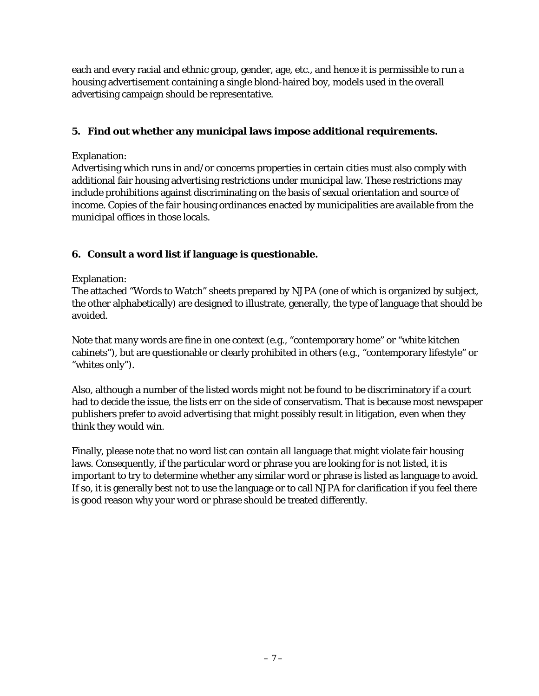each and every racial and ethnic group, gender, age, etc., and hence it is permissible to run a housing advertisement containing a single blond-haired boy, models used in the overall advertising campaign should be representative.

#### **5. Find out whether any municipal laws impose additional requirements.**

#### Explanation:

Advertising which runs in and/or concerns properties in certain cities must also comply with additional fair housing advertising restrictions under municipal law. These restrictions may include prohibitions against discriminating on the basis of sexual orientation and source of income. Copies of the fair housing ordinances enacted by municipalities are available from the municipal offices in those locals.

#### **6. Consult a word list if language is questionable.**

#### Explanation:

The attached "Words to Watch" sheets prepared by NJPA (one of which is organized by subject, the other alphabetically) are designed to illustrate, generally, the type of language that should be avoided.

Note that many words are fine in one context (e.g., "contemporary home" or "white kitchen cabinets"), but are questionable or clearly prohibited in others (e.g., "contemporary lifestyle" or "whites only").

Also, although a number of the listed words might not be found to be discriminatory if a court had to decide the issue, the lists err on the side of conservatism. That is because most newspaper publishers prefer to avoid advertising that might possibly result in litigation, even when they think they would win.

Finally, please note that no word list can contain all language that might violate fair housing laws. Consequently, if the particular word or phrase you are looking for is not listed, it is important to try to determine whether any similar word or phrase is listed as language to avoid. If so, it is generally best not to use the language or to call NJPA for clarification if you feel there is good reason why your word or phrase should be treated differently.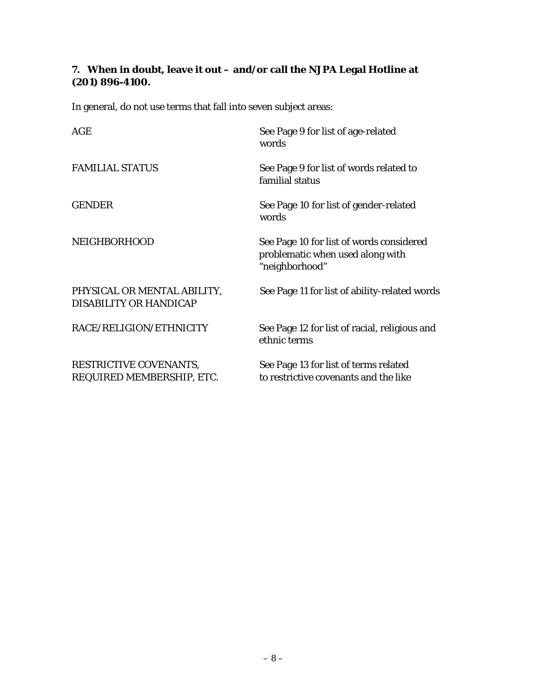#### **7. When in doubt, leave it out – and/or call the NJPA Legal Hotline at (201) 896-4100.**

In general, do not use terms that fall into seven subject areas:

| AGE                                                   | See Page 9 for list of age-related<br>words                                                    |
|-------------------------------------------------------|------------------------------------------------------------------------------------------------|
| <b>FAMILIAL STATUS</b>                                | See Page 9 for list of words related to<br>familial status                                     |
| <b>GENDER</b>                                         | See Page 10 for list of gender-related<br>words                                                |
| <b>NEIGHBORHOOD</b>                                   | See Page 10 for list of words considered<br>problematic when used along with<br>"neighborhood" |
| PHYSICAL OR MENTAL ABILITY,<br>DISABILITY OR HANDICAP | See Page 11 for list of ability-related words                                                  |
| RACE/RELIGION/ETHNICITY                               | See Page 12 for list of racial, religious and<br>ethnic terms                                  |
| RESTRICTIVE COVENANTS,<br>REQUIRED MEMBERSHIP, ETC.   | See Page 13 for list of terms related<br>to restrictive covenants and the like                 |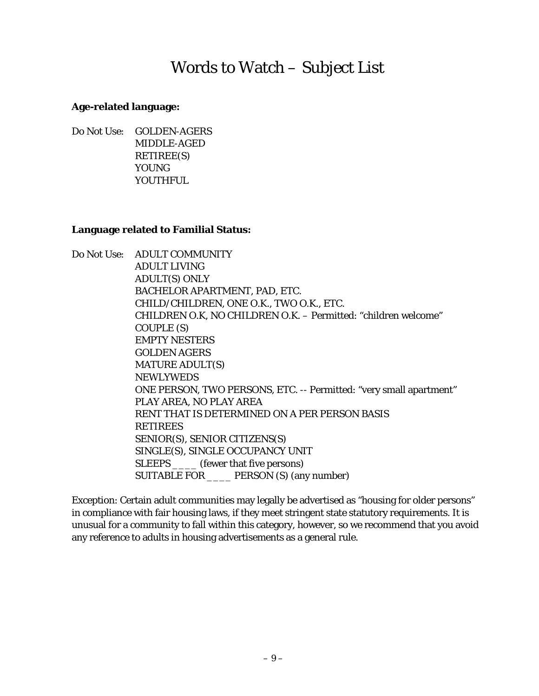# Words to Watch – Subject List

#### **Age-related language:**

Do Not Use: GOLDEN-AGERS MIDDLE-AGED RETIREE(S) YOUNG YOUTHFUL.

#### **Language related to Familial Status:**

Do Not Use: ADULT COMMUNITY ADULT LIVING ADULT(S) ONLY BACHELOR APARTMENT, PAD, ETC. CHILD/CHILDREN, ONE O.K., TWO O.K., ETC. CHILDREN O.K, NO CHILDREN O.K. – Permitted: "children welcome" COUPLE (S) EMPTY NESTERS GOLDEN AGERS MATURE ADULT(S) NEWLYWEDS ONE PERSON, TWO PERSONS, ETC. -- Permitted: "very small apartment" PLAY AREA, NO PLAY AREA RENT THAT IS DETERMINED ON A PER PERSON BASIS RETIREES SENIOR(S), SENIOR CITIZENS(S) SINGLE(S), SINGLE OCCUPANCY UNIT SLEEPS \_\_\_\_\_\_ (fewer that five persons) SUITABLE FOR \_\_\_\_ PERSON (S) (any number)

Exception: Certain adult communities may legally be advertised as "housing for older persons" in compliance with fair housing laws, if they meet stringent state statutory requirements. It is unusual for a community to fall within this category, however, so we recommend that you avoid any reference to adults in housing advertisements as a general rule.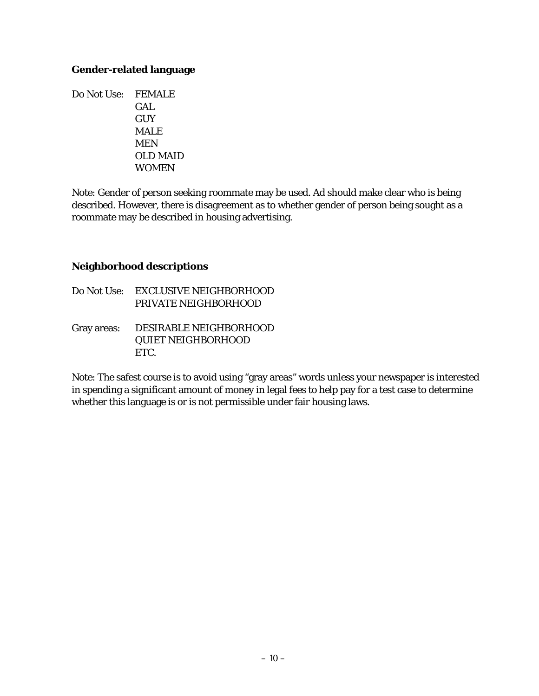#### **Gender-related language**

Do Not Use: FEMALE GAL **GUY**  MALE MEN OLD MAID WOMEN

Note: Gender of person seeking roommate may be used. Ad should make clear who is being described. However, there is disagreement as to whether gender of person being sought as a roommate may be described in housing advertising.

#### **Neighborhood descriptions**

Do Not Use: EXCLUSIVE NEIGHBORHOOD PRIVATE NEIGHBORHOOD Gray areas: DESIRABLE NEIGHBORHOOD QUIET NEIGHBORHOOD ETC.

Note: The safest course is to avoid using "gray areas" words unless your newspaper is interested in spending a significant amount of money in legal fees to help pay for a test case to determine whether this language is or is not permissible under fair housing laws.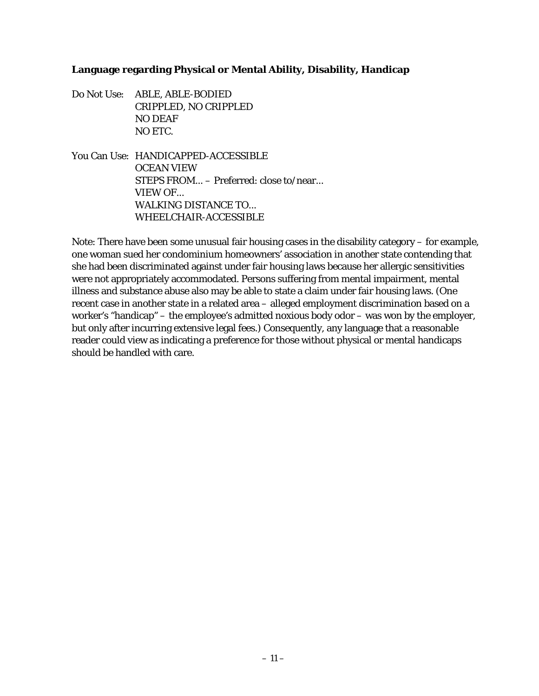#### **Language regarding Physical or Mental Ability, Disability, Handicap**

- Do Not Use: ABLE, ABLE-BODIED CRIPPLED, NO CRIPPLED NO DEAF NO ETC.
- You Can Use: HANDICAPPED-ACCESSIBLE OCEAN VIEW STEPS FROM... – Preferred: close to/near... VIEW OF... WALKING DISTANCE TO... WHEELCHAIR-ACCESSIBLE

Note: There have been some unusual fair housing cases in the disability category – for example, one woman sued her condominium homeowners' association in another state contending that she had been discriminated against under fair housing laws because her allergic sensitivities were not appropriately accommodated. Persons suffering from mental impairment, mental illness and substance abuse also may be able to state a claim under fair housing laws. (One recent case in another state in a related area – alleged employment discrimination based on a worker's "handicap" – the employee's admitted noxious body odor – was won by the employer, but only after incurring extensive legal fees.) Consequently, any language that a reasonable reader could view as indicating a preference for those without physical or mental handicaps should be handled with care.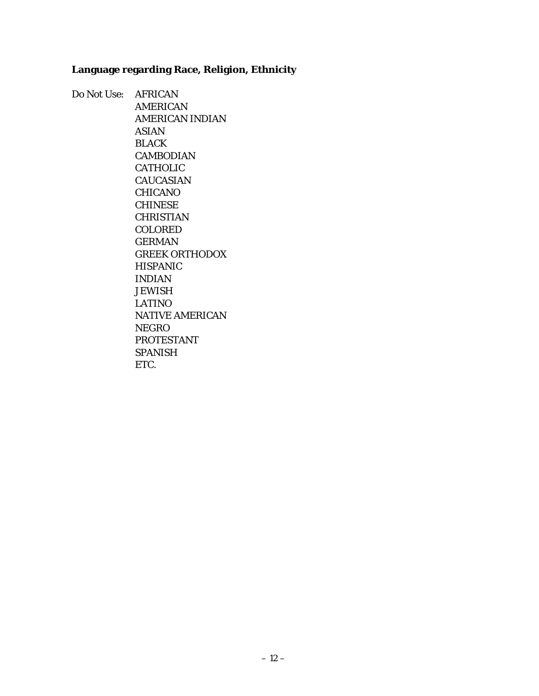#### **Language regarding Race, Religion, Ethnicity**

Do Not Use: AFRICAN AMERICAN AMERICAN INDIAN ASIAN BLACK CAMBODIAN CATHOLIC **CAUCASIAN**  CHICANO CHINESE CHRISTIAN COLORED GERMAN GREEK ORTHODOX HISPANIC INDIAN **JEWISH**  LATINO NATIVE AMERICAN NEGRO PROTESTANT SPANISH ETC.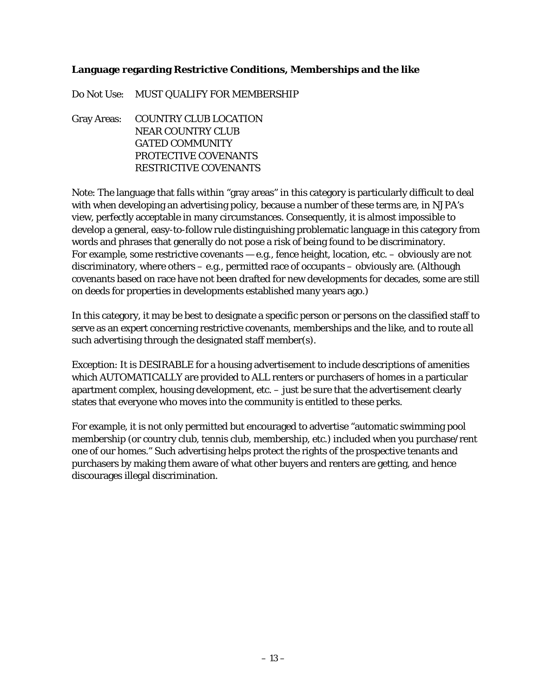#### **Language regarding Restrictive Conditions, Memberships and the like**

Do Not Use: MUST QUALIFY FOR MEMBERSHIP

Gray Areas: COUNTRY CLUB LOCATION NEAR COUNTRY CLUB GATED COMMUNITY PROTECTIVE COVENANTS RESTRICTIVE COVENANTS

Note: The language that falls within "gray areas" in this category is particularly difficult to deal with when developing an advertising policy, because a number of these terms are, in NJPA's view, perfectly acceptable in many circumstances. Consequently, it is almost impossible to develop a general, easy-to-follow rule distinguishing problematic language in this category from words and phrases that generally do not pose a risk of being found to be discriminatory. For example, some restrictive covenants  $-$  e.g., fence height, location, etc.  $-$  obviously are not discriminatory, where others – e.g., permitted race of occupants – obviously are. (Although covenants based on race have not been drafted for new developments for decades, some are still on deeds for properties in developments established many years ago.)

In this category, it may be best to designate a specific person or persons on the classified staff to serve as an expert concerning restrictive covenants, memberships and the like, and to route all such advertising through the designated staff member(s).

Exception: It is DESIRABLE for a housing advertisement to include descriptions of amenities which AUTOMATICALLY are provided to ALL renters or purchasers of homes in a particular apartment complex, housing development, etc. – just be sure that the advertisement clearly states that everyone who moves into the community is entitled to these perks.

For example, it is not only permitted but encouraged to advertise "automatic swimming pool membership (or country club, tennis club, membership, etc.) included when you purchase/rent one of our homes." Such advertising helps protect the rights of the prospective tenants and purchasers by making them aware of what other buyers and renters are getting, and hence discourages illegal discrimination.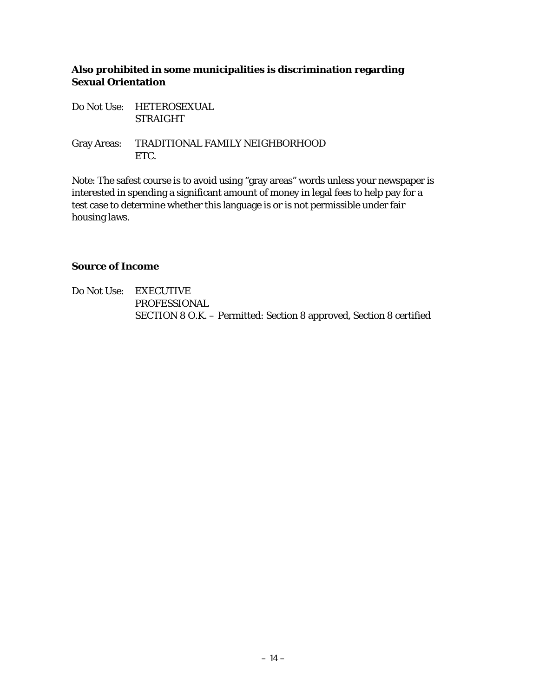#### **Also prohibited in some municipalities is discrimination regarding Sexual Orientation**

Do Not Use: HETEROSEXUAL STRAIGHT

Gray Areas: TRADITIONAL FAMILY NEIGHBORHOOD ETC.

Note: The safest course is to avoid using "gray areas" words unless your newspaper is interested in spending a significant amount of money in legal fees to help pay for a test case to determine whether this language is or is not permissible under fair housing laws.

#### **Source of Income**

Do Not Use: EXECUTIVE PROFESSIONAL SECTION 8 O.K. – Permitted: Section 8 approved, Section 8 certified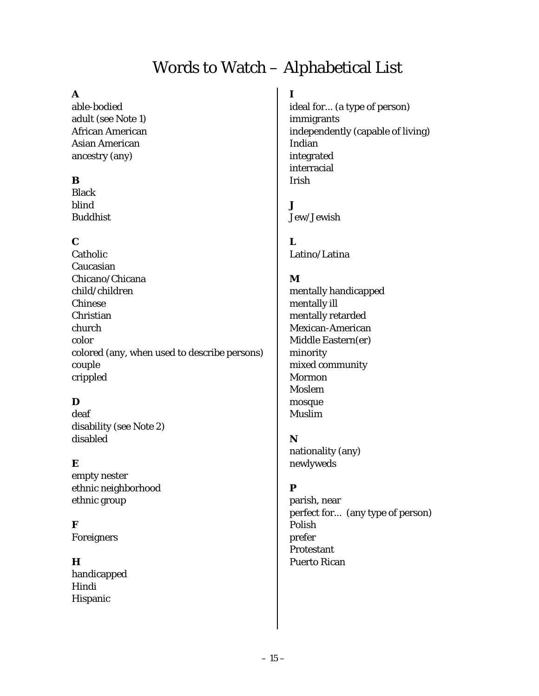# Words to Watch – Alphabetical List

#### **A**

able-bodied adult (see Note 1) African American Asian American ancestry (any)

#### **B**

Black blind Buddhist

#### **C**

Catholic Caucasian Chicano/Chicana child/children Chinese Christian church color colored (any, when used to describe persons) couple crippled

#### **D**

deaf disability (see Note 2) disabled

#### **E**

empty nester ethnic neighborhood ethnic group

**F** 

Foreigners

#### **H**

handicapped Hindi Hispanic

**I**  ideal for... (a type of person) immigrants independently (capable of living) Indian integrated interracial Irish

 $\mathbf{J}$ Jew/Jewish

**L**  Latino/Latina

#### **M**

mentally handicapped mentally ill mentally retarded Mexican-American Middle Eastern(er) minority mixed community Mormon Moslem mosque Muslim

#### **N**

nationality (any) newlyweds

#### **P**

parish, near perfect for... (any type of person) Polish prefer Protestant Puerto Rican